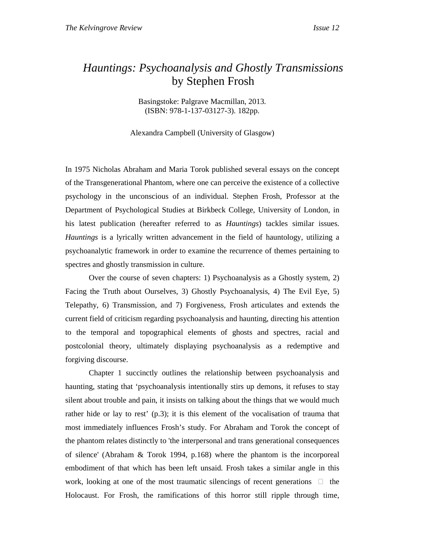## *Hauntings: Psychoanalysis and Ghostly Transmissions* by Stephen Frosh

Basingstoke: Palgrave Macmillan, 2013. (ISBN: 978-1-137-03127-3). 182pp.

Alexandra Campbell (University of Glasgow)

In 1975 Nicholas Abraham and Maria Torok published several essays on the concept of the Transgenerational Phantom, where one can perceive the existence of a collective psychology in the unconscious of an individual. Stephen Frosh, Professor at the Department of Psychological Studies at Birkbeck College, University of London, in his latest publication (hereafter referred to as *Hauntings*) tackles similar issues. *Hauntings* is a lyrically written advancement in the field of hauntology, utilizing a psychoanalytic framework in order to examine the recurrence of themes pertaining to spectres and ghostly transmission in culture.

 Over the course of seven chapters: 1) Psychoanalysis as a Ghostly system, 2) Facing the Truth about Ourselves, 3) Ghostly Psychoanalysis, 4) The Evil Eye, 5) Telepathy, 6) Transmission, and 7) Forgiveness, Frosh articulates and extends the current field of criticism regarding psychoanalysis and haunting, directing his attention to the temporal and topographical elements of ghosts and spectres, racial and postcolonial theory, ultimately displaying psychoanalysis as a redemptive and forgiving discourse.

Chapter 1 succinctly outlines the relationship between psychoanalysis and haunting, stating that 'psychoanalysis intentionally stirs up demons, it refuses to stay silent about trouble and pain, it insists on talking about the things that we would much rather hide or lay to rest' (p.3); it is this element of the vocalisation of trauma that most immediately influences Frosh's study. For Abraham and Torok the concept of the phantom relates distinctly to 'the interpersonal and trans generational consequences of silence' (Abraham & Torok 1994, p.168) where the phantom is the incorporeal embodiment of that which has been left unsaid. Frosh takes a similar angle in this work, looking at one of the most traumatic silencings of recent generations the Holocaust. For Frosh, the ramifications of this horror still ripple through time,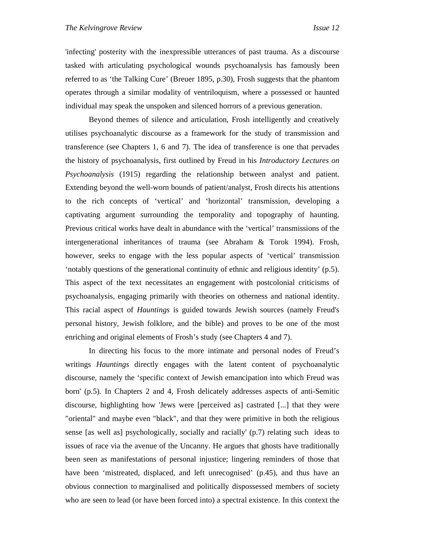'infecting' posterity with the inexpressible utterances of past trauma. As a discourse tasked with articulating psychological wounds psychoanalysis has famously been referred to as 'the Talking Cure' (Breuer 1895, p.30), Frosh suggests that the phantom operates through a similar modality of ventriloquism, where a possessed or haunted individual may speak the unspoken and silenced horrors of a previous generation.

Beyond themes of silence and articulation, Frosh intelligently and creatively utilises psychoanalytic discourse as a framework for the study of transmission and transference (see Chapters 1, 6 and 7). The idea of transference is one that pervades the history of psychoanalysis, first outlined by Freud in his *Introductory Lectures on Psychoanalysis* (1915) regarding the relationship between analyst and patient. Extending beyond the well-worn bounds of patient/analyst, Frosh directs his attentions to the rich concepts of 'vertical' and 'horizontal' transmission, developing a captivating argument surrounding the temporality and topography of haunting. Previous critical works have dealt in abundance with the 'vertical' transmissions of the intergenerational inheritances of trauma (see Abraham & Torok 1994). Frosh, however, seeks to engage with the less popular aspects of 'vertical' transmission 'notably questions of the generational continuity of ethnic and religious identity' (p.5). This aspect of the text necessitates an engagement with postcolonial criticisms of psychoanalysis, engaging primarily with theories on otherness and national identity. This racial aspect of *Hauntings* is guided towards Jewish sources (namely Freud's personal history, Jewish folklore, and the bible) and proves to be one of the most enriching and original elements of Frosh's study (see Chapters 4 and 7).

In directing his focus to the more intimate and personal nodes of Freud's writings *Hauntings* directly engages with the latent content of psychoanalytic discourse, namely the 'specific context of Jewish emancipation into which Freud was born' (p.5). In Chapters 2 and 4, Frosh delicately addresses aspects of anti-Semitic discourse, highlighting how 'Jews were [perceived as] castrated [...] that they were "oriental" and maybe even "black", and that they were primitive in both the religious sense [as well as] psychologically, socially and racially' (p.7) relating such ideas to issues of race via the avenue of the Uncanny. He argues that ghosts have traditionally been seen as manifestations of personal injustice; lingering reminders of those that have been 'mistreated, displaced, and left unrecognised' (p.45), and thus have an obvious connection to marginalised and politically dispossessed members of society who are seen to lead (or have been forced into) a spectral existence. In this context the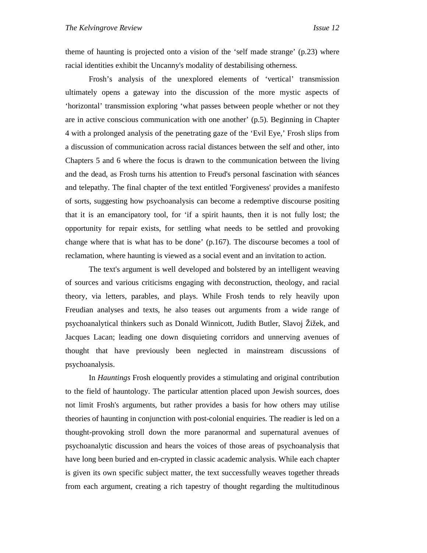theme of haunting is projected onto a vision of the 'self made strange' (p.23) where racial identities exhibit the Uncanny's modality of destabilising otherness.

Frosh's analysis of the unexplored elements of 'vertical' transmission ultimately opens a gateway into the discussion of the more mystic aspects of 'horizontal' transmission exploring 'what passes between people whether or not they are in active conscious communication with one another' (p.5). Beginning in Chapter 4 with a prolonged analysis of the penetrating gaze of the 'Evil Eye,' Frosh slips from a discussion of communication across racial distances between the self and other, into Chapters 5 and 6 where the focus is drawn to the communication between the living and the dead, as Frosh turns his attention to Freud's personal fascination with séances and telepathy. The final chapter of the text entitled 'Forgiveness' provides a manifesto of sorts, suggesting how psychoanalysis can become a redemptive discourse positing that it is an emancipatory tool, for 'if a spirit haunts, then it is not fully lost; the opportunity for repair exists, for settling what needs to be settled and provoking change where that is what has to be done'  $(p.167)$ . The discourse becomes a tool of reclamation, where haunting is viewed as a social event and an invitation to action.

The text's argument is well developed and bolstered by an intelligent weaving of sources and various criticisms engaging with deconstruction, theology, and racial theory, via letters, parables, and plays. While Frosh tends to rely heavily upon Freudian analyses and texts, he also teases out arguments from a wide range of psychoanalytical thinkers such as Donald Winnicott, Judith Butler, Slavoj Žižek, and Jacques Lacan; leading one down disquieting corridors and unnerving avenues of thought that have previously been neglected in mainstream discussions of psychoanalysis.

In *Hauntings* Frosh eloquently provides a stimulating and original contribution to the field of hauntology. The particular attention placed upon Jewish sources, does not limit Frosh's arguments, but rather provides a basis for how others may utilise theories of haunting in conjunction with post-colonial enquiries. The readier is led on a thought-provoking stroll down the more paranormal and supernatural avenues of psychoanalytic discussion and hears the voices of those areas of psychoanalysis that have long been buried and en-crypted in classic academic analysis. While each chapter is given its own specific subject matter, the text successfully weaves together threads from each argument, creating a rich tapestry of thought regarding the multitudinous